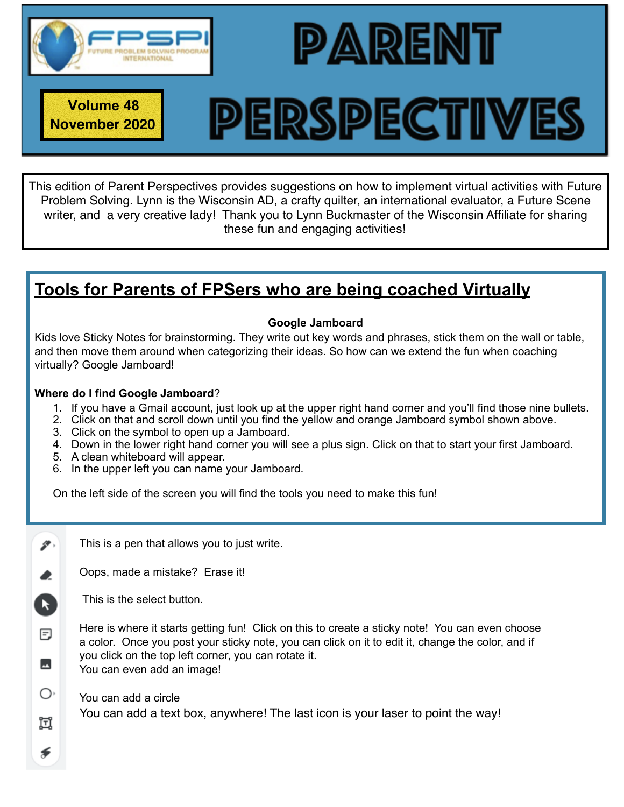

**November 2020**

**Volume 48**

# **PERSPECTIVES**

PARENT

This edition of Parent Perspectives provides suggestions on how to implement virtual activities with Future Problem Solving. Lynn is the Wisconsin AD, a crafty quilter, an international evaluator, a Future Scene writer, and a very creative lady! Thank you to Lynn Buckmaster of the Wisconsin Affiliate for sharing these fun and engaging activities!

# **Tools for Parents of FPSers who are being coached Virtually**

### **Google Jamboard**

Kids love Sticky Notes for brainstorming. They write out key words and phrases, stick them on the wall or table, and then move them around when categorizing their ideas. So how can we extend the fun when coaching virtually? Google Jamboard!

### **Where do I find Google Jamboard**?

- 1. If you have a Gmail account, just look up at the upper right hand corner and you'll find those nine bullets.
- 2. Click on that and scroll down until you find the yellow and orange Jamboard symbol shown above.
- 3. Click on the symbol to open up a Jamboard.
- 4. Down in the lower right hand corner you will see a plus sign. Click on that to start your first Jamboard.
- 5. A clean whiteboard will appear.
- 6. In the upper left you can name your Jamboard.

On the left side of the screen you will find the tools you need to make this fun!

This is a pen that allows you to just write.

Oops, made a mistake? Erase it!

This is the select button.

 $\mathscr{P}$  .

 $\blacktriangleright$ 

冃

 $\overline{\phantom{a}}$ 

O١

Ħ

⋦

Here is where it starts getting fun! Click on this to create a sticky note! You can even choose a color. Once you post your sticky note, you can click on it to edit it, change the color, and if you click on the top left corner, you can rotate it. You can even add an image!

You can add a circle You can add a text box, anywhere! The last icon is your laser to point the way!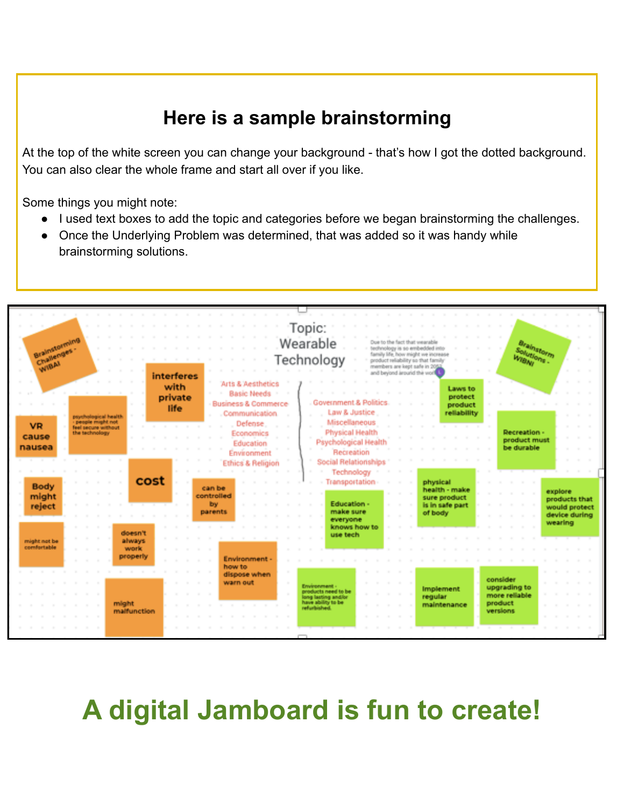# **Here is a sample brainstorming**

At the top of the white screen you can change your background - that's how I got the dotted background. You can also clear the whole frame and start all over if you like.

Some things you might note:

- I used text boxes to add the topic and categories before we began brainstorming the challenges.
- Once the Underlying Problem was determined, that was added so it was handy while brainstorming solutions.



**A digital Jamboard is fun to create!**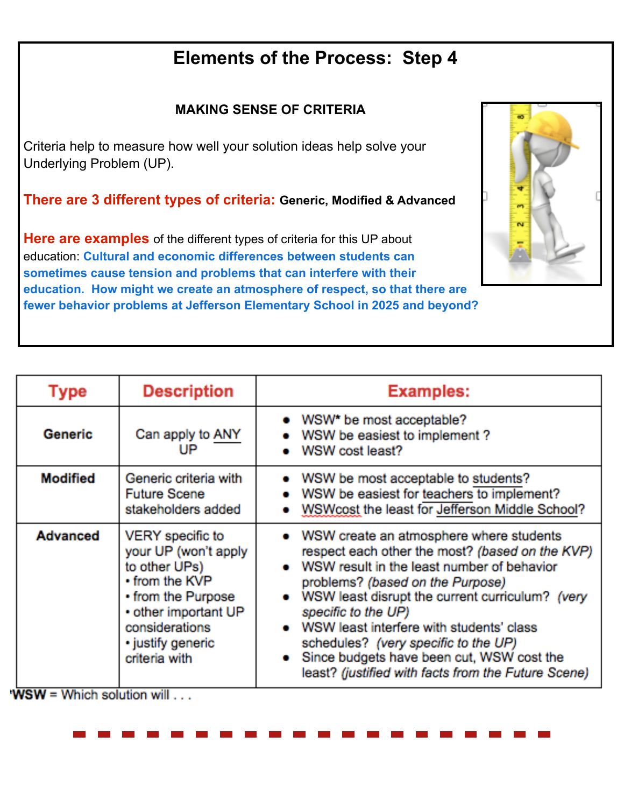# **Elements of the Process: Step 4**

### **MAKING SENSE OF CRITERIA**

Criteria help to measure how well your solution ideas help solve your Underlying Problem (UP).

**There are 3 different types of criteria: Generic, Modified & Advanced** 

**Here are examples** of the different types of criteria for this UP about education: **Cultural and economic differences between students can sometimes cause tension and problems that can interfere with their education. How might we create an atmosphere of respect, so that there are fewer behavior problems at Jefferson Elementary School in 2025 and beyond?** 



| Type            | <b>Description</b>                                                                                                                                                                | <b>Examples:</b>                                                                                                                                                                                                                                                                                                                                                                                                                                 |
|-----------------|-----------------------------------------------------------------------------------------------------------------------------------------------------------------------------------|--------------------------------------------------------------------------------------------------------------------------------------------------------------------------------------------------------------------------------------------------------------------------------------------------------------------------------------------------------------------------------------------------------------------------------------------------|
| Generic         | Can apply to ANY<br>UP                                                                                                                                                            | • WSW* be most acceptable?<br>WSW be easiest to implement?<br>WSW cost least?                                                                                                                                                                                                                                                                                                                                                                    |
| <b>Modified</b> | Generic criteria with<br><b>Future Scene</b><br>stakeholders added                                                                                                                | • WSW be most acceptable to students?<br>WSW be easiest for teachers to implement?<br>. WSWcost the least for Jefferson Middle School?                                                                                                                                                                                                                                                                                                           |
| <b>Advanced</b> | VERY specific to<br>your UP (won't apply<br>to other UPs)<br>• from the KVP<br>• from the Purpose<br>• other important UP<br>considerations<br>· justify generic<br>criteria with | • WSW create an atmosphere where students<br>respect each other the most? (based on the KVP)<br>WSW result in the least number of behavior<br>problems? (based on the Purpose)<br>WSW least disrupt the current curriculum? (very<br>specific to the UP)<br>WSW least interfere with students' class<br>schedules? (very specific to the UP)<br>Since budgets have been cut, WSW cost the<br>least? (justified with facts from the Future Scene) |

**WSW** = Which solution will  $\ldots$